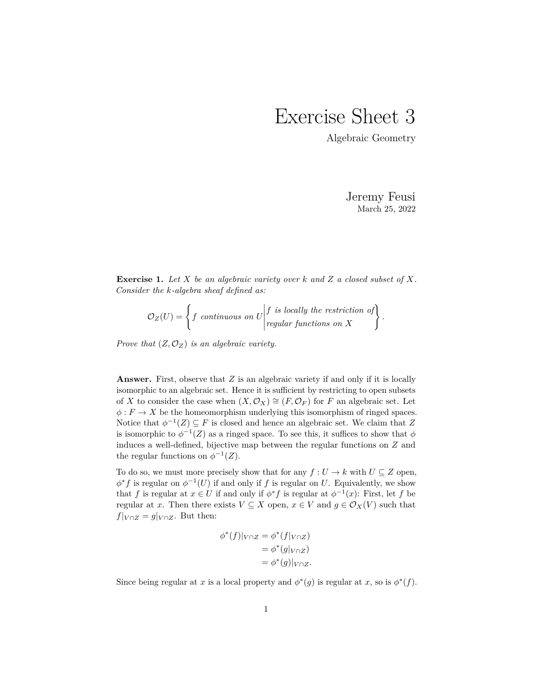## Exercise Sheet 3

Algebraic Geometry

Jeremy Feusi March 25, 2022

*.*

**Exercise 1.** *Let X be an algebraic variety over k and Z a closed subset of X. Consider the k-algebra sheaf defined as:*

$$
O_Z(U) = \left\{ f \text{ continuous on } U \middle| f \text{ is locally the restriction of} \atop regular functions on X \right\}
$$

*Prove that*  $(Z, \mathcal{O}_Z)$  *is an algebraic variety.* 

**Answer.** First, observe that *Z* is an algebraic variety if and only if it is locally isomorphic to an algebraic set. Hence it is sufficient by restricting to open subsets of *X* to consider the case when  $(X, \mathcal{O}_X) \cong (F, \mathcal{O}_F)$  for *F* an algebraic set. Let  $\phi: F \to X$  be the homeomorphism underlying this isomorphism of ringed spaces. Notice that  $\phi^{-1}(Z) \subseteq F$  is closed and hence an algebraic set. We claim that Z is isomorphic to  $\phi^{-1}(Z)$  as a ringed space. To see this, it suffices to show that  $\phi$ induces a well-defined, bijective map between the regular functions on *Z* and the regular functions on  $\phi^{-1}(Z)$ .

To do so, we must more precisely show that for any  $f: U \to k$  with  $U \subseteq Z$  open,  $\phi^* f$  is regular on  $\phi^{-1}(U)$  if and only if *f* is regular on *U*. Equivalently, we show that *f* is regular at  $x \in U$  if and only if  $\phi^* f$  is regular at  $\phi^{-1}(x)$ : First, let *f* be regular at *x*. Then there exists  $V \subseteq X$  open,  $x \in V$  and  $g \in \mathcal{O}_X(V)$  such that  $f|_{V \cap Z} = g|_{V \cap Z}$ . But then:

$$
\begin{aligned} \phi^*(f)|_{V \cap Z} &= \phi^*(f|_{V \cap Z}) \\ &= \phi^*(g|_{V \cap Z}) \\ &= \phi^*(g)|_{V \cap Z}. \end{aligned}
$$

Since being regular at *x* is a local property and  $\phi^*(g)$  is regular at *x*, so is  $\phi^*(f)$ .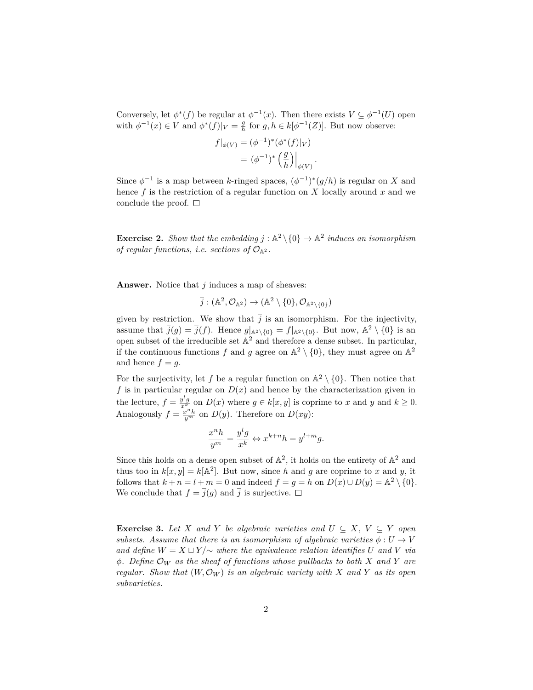Conversely, let  $\phi^*(f)$  be regular at  $\phi^{-1}(x)$ . Then there exists  $V \subseteq \phi^{-1}(U)$  open with  $\phi^{-1}(x) \in V$  and  $\phi^*(f)|_V = \frac{g}{h}$  for  $g, h \in k[\phi^{-1}(Z)]$ . But now observe:

$$
f|_{\phi(V)} = (\phi^{-1})^*(\phi^*(f)|_V)
$$
  
=  $(\phi^{-1})^*\left(\frac{g}{h}\right)|_{\phi(V)}.$ 

Since  $\phi^{-1}$  is a map between *k*-ringed spaces,  $(\phi^{-1})^*(g/h)$  is regular on *X* and hence *f* is the restriction of a regular function on *X* locally around *x* and we conclude the proof.  $\square$ 

**Exercise 2.** *Show that the embedding*  $j : \mathbb{A}^2 \setminus \{0\} \to \mathbb{A}^2$  *induces an isomorphism of regular functions, i.e. sections of*  $\mathcal{O}_{\mathbb{A}^2}$ *.* 

**Answer.** Notice that *j* induces a map of sheaves:

$$
\overline{j}:(\mathbb{A}^2,\mathcal{O}_{\mathbb{A}^2})\to (\mathbb{A}^2\setminus\{0\},\mathcal{O}_{\mathbb{A}^2\setminus\{0\}})
$$

given by restriction. We show that  $\overline{j}$  is an isomorphism. For the injectivity, assume that  $\overline{j}(g) = \overline{j}(f)$ . Hence  $g|_{\mathbb{A}^2 \setminus \{0\}} = f|_{\mathbb{A}^2 \setminus \{0\}}$ . But now,  $\mathbb{A}^2 \setminus \{0\}$  is an open subset of the irreducible set  $\mathbb{A}^2$  and therefore a dense subset. In particular, if the continuous functions f and g agree on  $\mathbb{A}^2 \setminus \{0\}$ , they must agree on  $\mathbb{A}^2$ and hence  $f = g$ .

For the surjectivity, let f be a regular function on  $\mathbb{A}^2 \setminus \{0\}$ . Then notice that f is in particular regular on  $D(x)$  and hence by the characterization given in the lecture,  $f = \frac{y^l g}{x^k}$  on  $D(x)$  where  $g \in k[x, y]$  is coprime to *x* and *y* and  $k \ge 0$ . Analogously  $f = \frac{x^n h}{y^m}$  on  $D(y)$ . Therefore on  $D(xy)$ :

$$
\frac{x^n h}{y^m} = \frac{y^l g}{x^k} \Leftrightarrow x^{k+n} h = y^{l+m} g.
$$

Since this holds on a dense open subset of  $\mathbb{A}^2$ , it holds on the entirety of  $\mathbb{A}^2$  and thus too in  $k[x, y] = k[A^2]$ . But now, since *h* and *g* are coprime to *x* and *y*, it follows that  $k + n = l + m = 0$  and indeed  $f = g = h$  on  $D(x) \cup D(y) = \mathbb{A}^2 \setminus \{0\}.$ We conclude that  $f = \overline{j}(g)$  and  $\overline{j}$  is surjective.  $\Box$ 

**Exercise 3.** *Let X and Y be algebraic varieties and*  $U \subseteq X$ ,  $V \subseteq Y$  *open subsets.* Assume that there is an isomorphism of algebraic varieties  $\phi: U \to V$ *and define*  $W = X ⊔ Y/∼$  *where the equivalence relation identifies*  $U$  *and*  $V$  *via ϕ. Define* O*<sup>W</sup> as the sheaf of functions whose pullbacks to both X and Y are regular. Show that*  $(W, \mathcal{O}_W)$  *is an algebraic variety with* X and Y *as its open subvarieties.*